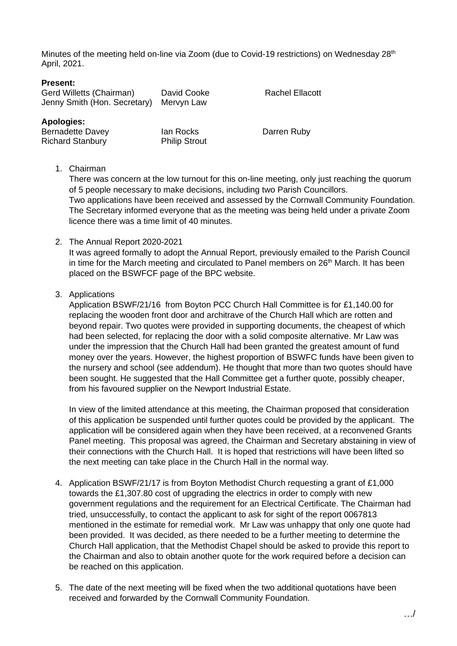Minutes of the meeting held on-line via Zoom (due to Covid-19 restrictions) on Wednesday 28<sup>th</sup> April, 2021.

### **Present:**

| Gerd Willetts (Chairman)<br>Jenny Smith (Hon. Secretary) | David Cooke<br>Mervyn Law | <b>Rachel Ellacott</b> |
|----------------------------------------------------------|---------------------------|------------------------|
| Apologies:                                               |                           |                        |
| <b>Bernadette Davey</b>                                  | lan Rocks                 | Darren Ruby            |
| <b>Richard Stanbury</b>                                  | <b>Philip Strout</b>      |                        |

1. Chairman

There was concern at the low turnout for this on-line meeting, only just reaching the quorum of 5 people necessary to make decisions, including two Parish Councillors. Two applications have been received and assessed by the Cornwall Community Foundation. The Secretary informed everyone that as the meeting was being held under a private Zoom licence there was a time limit of 40 minutes.

## 2. The Annual Report 2020-2021

It was agreed formally to adopt the Annual Report, previously emailed to the Parish Council in time for the March meeting and circulated to Panel members on  $26<sup>th</sup>$  March. It has been placed on the BSWFCF page of the BPC website.

## 3. Applications

Application BSWF/21/16 from Boyton PCC Church Hall Committee is for £1,140.00 for replacing the wooden front door and architrave of the Church Hall which are rotten and beyond repair. Two quotes were provided in supporting documents, the cheapest of which had been selected, for replacing the door with a solid composite alternative. Mr Law was under the impression that the Church Hall had been granted the greatest amount of fund money over the years. However, the highest proportion of BSWFC funds have been given to the nursery and school (see addendum). He thought that more than two quotes should have been sought. He suggested that the Hall Committee get a further quote, possibly cheaper, from his favoured supplier on the Newport Industrial Estate.

In view of the limited attendance at this meeting, the Chairman proposed that consideration of this application be suspended until further quotes could be provided by the applicant. The application will be considered again when they have been received, at a reconvened Grants Panel meeting. This proposal was agreed, the Chairman and Secretary abstaining in view of their connections with the Church Hall. It is hoped that restrictions will have been lifted so the next meeting can take place in the Church Hall in the normal way.

- 4. Application BSWF/21/17 is from Boyton Methodist Church requesting a grant of £1,000 towards the £1,307.80 cost of upgrading the electrics in order to comply with new government regulations and the requirement for an Electrical Certificate. The Chairman had tried, unsuccessfully, to contact the applicant to ask for sight of the report 0067813 mentioned in the estimate for remedial work. Mr Law was unhappy that only one quote had been provided. It was decided, as there needed to be a further meeting to determine the Church Hall application, that the Methodist Chapel should be asked to provide this report to the Chairman and also to obtain another quote for the work required before a decision can be reached on this application.
- 5. The date of the next meeting will be fixed when the two additional quotations have been received and forwarded by the Cornwall Community Foundation.